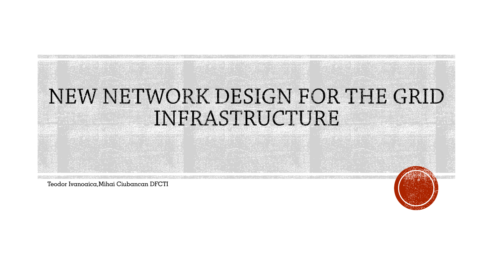

Teodor Ivanoaica,Mihai Ciubancan DFCTI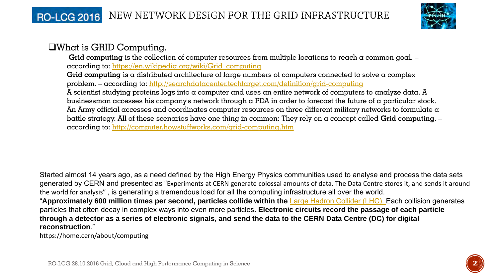# RO-LCG 2016 NEW NETWORK DESIGN FOR THE GRID INFRASTRUCTURE



# What is GRID Computing.

**Grid computing** is the collection of computer resources from multiple locations to reach a common goal. – according to: [https://en.wikipedia.org/wiki/Grid\\_computing](https://en.wikipedia.org/wiki/Grid_computing)

**Grid computing** is a distributed architecture of large numbers of computers connected to solve a complex problem. – according to: <http://searchdatacenter.techtarget.com/definition/grid-computing>

A scientist studying proteins logs into a computer and uses an entire network of computers to analyze data. A businessman accesses his company's network through a PDA in order to forecast the future of a particular stock. An Army official accesses and coordinates computer resources on three different military networks to formulate a battle strategy. All of these scenarios have one thing in common: They rely on a concept called **Grid computing**. – according to:<http://computer.howstuffworks.com/grid-computing.htm>

Started almost 14 years ago, as a need defined by the High Energy Physics communities used to analyse and process the data sets generated by CERN and presented as "Experiments at CERN generate colossal amounts of data. The Data Centre stores it, and sends it around the world for analysis" , is generating a tremendous load for all the computing infrastructure all over the world.

"**Approximately 600 million times per second, particles collide within the** [Large Hadron Collider \(LHC\).](https://home.cern/about/accelerators/large-hadron-collider) Each collision generates particles that often decay in complex ways into even more particles**. Electronic circuits record the passage of each particle through a detector as a series of electronic signals, and send the data to the CERN Data Centre (DC) for digital reconstruction**."

https://home.cern/about/computing

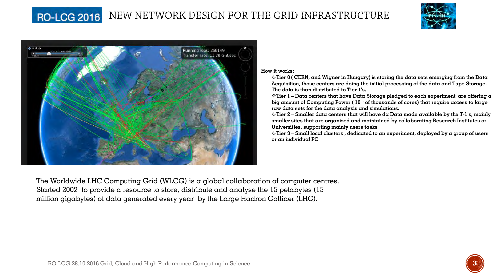#### **RO-LCG 2016** NEW NETWORK DESIGN FOR THE GRID INFRASTRUCTURE





**How it works:**

**Tier 0 ( CERN, and Wigner in Hungary) is storing the data sets emerging from the Data Acquisition, those centers are doing the initial processing of the data and Tape Storage. The data is than distributed to Tier 1's.**

**Tier 1 – Data centers that have Data Storage pledged to each experiment, are offering a big amount of Computing Power ( 10th of thousands of cores) that require access to large raw data sets for the data analysis and simulations.**

**Tier 2 – Smaller data centers that will have da Data made available by the T-1's, mainly smaller sites that are organized and maintained by collaborating Research Institutes or Universities, supporting mainly users tasks**

**Tier 3 – Small local clusters , dedicated to an experiment, deployed by a group of users or an individual PC**

The Worldwide LHC Computing Grid (WLCG) is a global collaboration of computer centres. Started 2002 to provide a resource to store, distribute and analyse the 15 petabytes (15 million gigabytes) of data generated every year by the Large Hadron Collider (LHC).

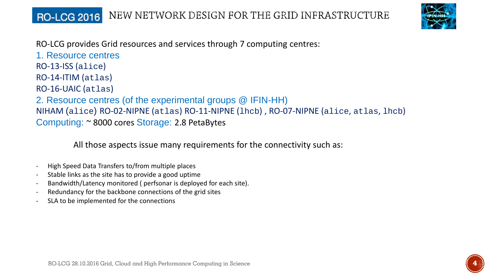## NEW NETWORK DESIGN FOR THE GRID INFRASTRUCTURE **RO-LCG 2016**



RO-LCG provides Grid resources and services through 7 computing centres:

1. Resource centres RO-13-ISS (alice) RO-14-ITIM (atlas) RO-16-UAIC (atlas) 2. Resource centres (of the experimental groups @ IFIN-HH) NIHAM (alice) RO-02-NIPNE (atlas) RO-11-NIPNE (lhcb) , RO-07-NIPNE (alice, atlas, lhcb) Computing: ~ 8000 cores Storage: 2.8 PetaBytes

All those aspects issue many requirements for the connectivity such as:

- High Speed Data Transfers to/from multiple places
- Stable links as the site has to provide a good uptime
- Bandwidth/Latency monitored ( perfsonar is deployed for each site).
- Redundancy for the backbone connections of the grid sites
- SLA to be implemented for the connections

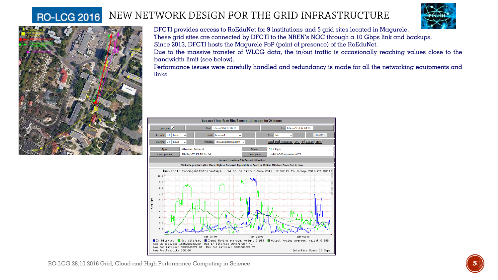### NEW NETWORK DESIGN FOR THE GRID INFRASTRUCTURE **RO-LCG 2016**





DFCTI provides access to RoEduNet for 9 institutions and 5 grid sites located in Magurele. These grid sites are connected by DFCTI to the NREN's NOC through  $\alpha$  10 Gbps link and backups. Since 2013, DFCTI hosts the Magurele PoP (point of presence) of the RoEduNet.

Due to the massive transfer of WLCG data, the in/out traffic is occasionally reaching values close to the bandwidth limit (see below).

Performance issues were carefully handled and redundancy is made for all the networking equipments and links

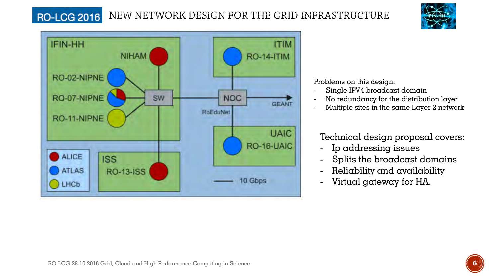### NEW NETWORK DESIGN FOR THE GRID INFRASTRUCTURE **RO-LCG 2016**





Problems on this design:

- Single IPV4 broadcast domain
- No redundancy for the distribution layer
- Multiple sites in the same Layer 2 network

Technical design proposal covers:

- Ip addressing issues
- Splits the broadcast domains
- Reliability and availability
- Virtual gateway for HA.

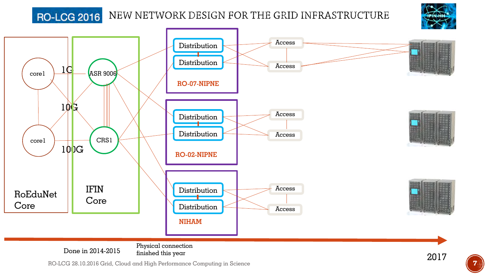# **RO-LCG 2016**

NEW NETWORK DESIGN FOR THE GRID INFRASTRUCTURE





RO-LCG 28.10.2016 Grid, Cloud and High Performance Computing in Science